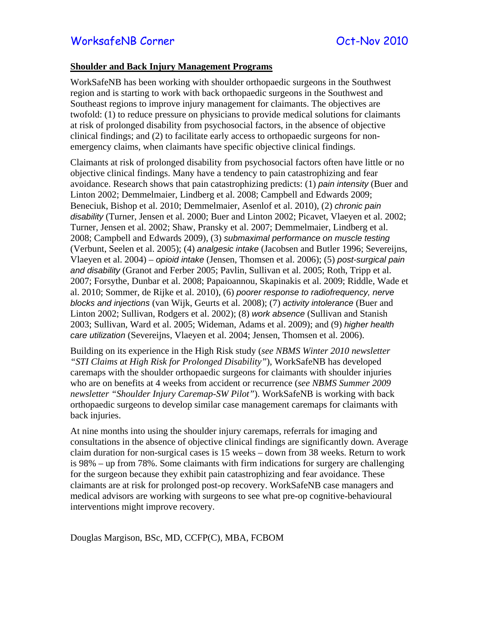## **Shoulder and Back Injury Management Programs**

WorkSafeNB has been working with shoulder orthopaedic surgeons in the Southwest region and is starting to work with back orthopaedic surgeons in the Southwest and Southeast regions to improve injury management for claimants. The objectives are twofold: (1) to reduce pressure on physicians to provide medical solutions for claimants at risk of prolonged disability from psychosocial factors, in the absence of objective clinical findings; and (2) to facilitate early access to orthopaedic surgeons for nonemergency claims, when claimants have specific objective clinical findings.

Claimants at risk of prolonged disability from psychosocial factors often have little or no objective clinical findings. Many have a tendency to pain catastrophizing and fear avoidance. Research shows that pain catastrophizing predicts: (1) *pain intensity* (Buer and Linton 2002; Demmelmaier, Lindberg et al. 2008; Campbell and Edwards 2009; Beneciuk, Bishop et al. 2010; Demmelmaier, Asenlof et al. 2010), (2) *chronic pain disability* (Turner, Jensen et al. 2000; Buer and Linton 2002; Picavet, Vlaeyen et al. 2002; Turner, Jensen et al. 2002; Shaw, Pransky et al. 2007; Demmelmaier, Lindberg et al. 2008; Campbell and Edwards 2009), (3) *submaximal performance on muscle testing* (Verbunt, Seelen et al. 2005); (4) *analgesic intake* (Jacobsen and Butler 1996; Severeijns, Vlaeyen et al. 2004) – *opioid intake* (Jensen, Thomsen et al. 2006); (5) *post-surgical pain and disability* (Granot and Ferber 2005; Pavlin, Sullivan et al. 2005; Roth, Tripp et al. 2007; Forsythe, Dunbar et al. 2008; Papaioannou, Skapinakis et al. 2009; Riddle, Wade et al. 2010; Sommer, de Rijke et al. 2010), (6) *poorer response to radiofrequency, nerve blocks and injections* (van Wijk, Geurts et al. 2008); (7) *activity intolerance* (Buer and Linton 2002; Sullivan, Rodgers et al. 2002); (8) *work absence* (Sullivan and Stanish 2003; Sullivan, Ward et al. 2005; Wideman, Adams et al. 2009); and (9) *higher health care utilization* (Severeijns, Vlaeyen et al. 2004; Jensen, Thomsen et al. 2006).

Building on its experience in the High Risk study (*see NBMS Winter 2010 newsletter "STI Claims at High Risk for Prolonged Disability"*), WorkSafeNB has developed caremaps with the shoulder orthopaedic surgeons for claimants with shoulder injuries who are on benefits at 4 weeks from accident or recurrence (*see NBMS Summer 2009 newsletter "Shoulder Injury Caremap-SW Pilot"*). WorkSafeNB is working with back orthopaedic surgeons to develop similar case management caremaps for claimants with back injuries.

At nine months into using the shoulder injury caremaps, referrals for imaging and consultations in the absence of objective clinical findings are significantly down. Average claim duration for non-surgical cases is 15 weeks – down from 38 weeks. Return to work is 98% – up from 78%. Some claimants with firm indications for surgery are challenging for the surgeon because they exhibit pain catastrophizing and fear avoidance. These claimants are at risk for prolonged post-op recovery. WorkSafeNB case managers and medical advisors are working with surgeons to see what pre-op cognitive-behavioural interventions might improve recovery.

Douglas Margison, BSc, MD, CCFP(C), MBA, FCBOM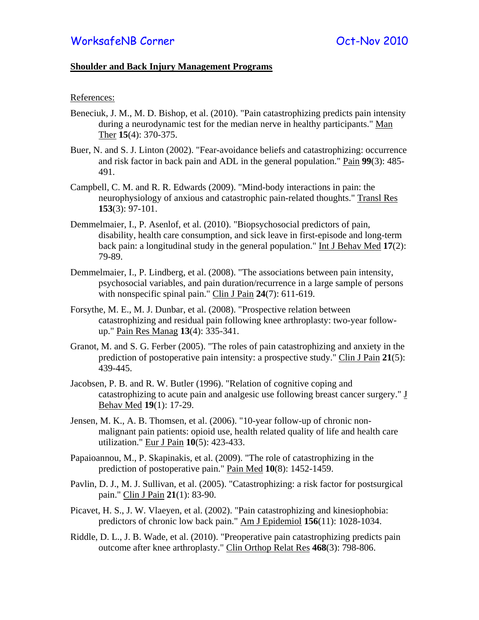## **Shoulder and Back Injury Management Programs**

## References:

- Beneciuk, J. M., M. D. Bishop, et al. (2010). "Pain catastrophizing predicts pain intensity during a neurodynamic test for the median nerve in healthy participants." Man Ther **15**(4): 370-375.
- Buer, N. and S. J. Linton (2002). "Fear-avoidance beliefs and catastrophizing: occurrence and risk factor in back pain and ADL in the general population." Pain **99**(3): 485- 491.
- Campbell, C. M. and R. R. Edwards (2009). "Mind-body interactions in pain: the neurophysiology of anxious and catastrophic pain-related thoughts." Transl Res **153**(3): 97-101.
- Demmelmaier, I., P. Asenlof, et al. (2010). "Biopsychosocial predictors of pain, disability, health care consumption, and sick leave in first-episode and long-term back pain: a longitudinal study in the general population." Int J Behav Med **17**(2): 79-89.
- Demmelmaier, I., P. Lindberg, et al. (2008). "The associations between pain intensity, psychosocial variables, and pain duration/recurrence in a large sample of persons with nonspecific spinal pain." Clin J Pain **24**(7): 611-619.
- Forsythe, M. E., M. J. Dunbar, et al. (2008). "Prospective relation between catastrophizing and residual pain following knee arthroplasty: two-year followup." Pain Res Manag **13**(4): 335-341.
- Granot, M. and S. G. Ferber (2005). "The roles of pain catastrophizing and anxiety in the prediction of postoperative pain intensity: a prospective study." Clin J Pain **21**(5): 439-445.
- Jacobsen, P. B. and R. W. Butler (1996). "Relation of cognitive coping and catastrophizing to acute pain and analgesic use following breast cancer surgery." J Behav Med **19**(1): 17-29.
- Jensen, M. K., A. B. Thomsen, et al. (2006). "10-year follow-up of chronic nonmalignant pain patients: opioid use, health related quality of life and health care utilization." Eur J Pain **10**(5): 423-433.
- Papaioannou, M., P. Skapinakis, et al. (2009). "The role of catastrophizing in the prediction of postoperative pain." Pain Med **10**(8): 1452-1459.
- Pavlin, D. J., M. J. Sullivan, et al. (2005). "Catastrophizing: a risk factor for postsurgical pain." Clin J Pain **21**(1): 83-90.
- Picavet, H. S., J. W. Vlaeyen, et al. (2002). "Pain catastrophizing and kinesiophobia: predictors of chronic low back pain." Am J Epidemiol **156**(11): 1028-1034.
- Riddle, D. L., J. B. Wade, et al. (2010). "Preoperative pain catastrophizing predicts pain outcome after knee arthroplasty." Clin Orthop Relat Res **468**(3): 798-806.